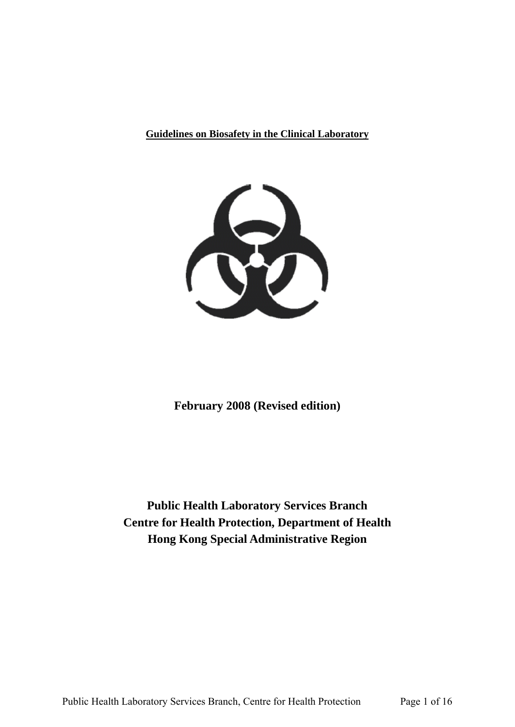**Guidelines on Biosafety in the Clinical Laboratory** 



**February 2008 (Revised edition)**

**Public Health Laboratory Services Branch Centre for Health Protection, Department of Health Hong Kong Special Administrative Region**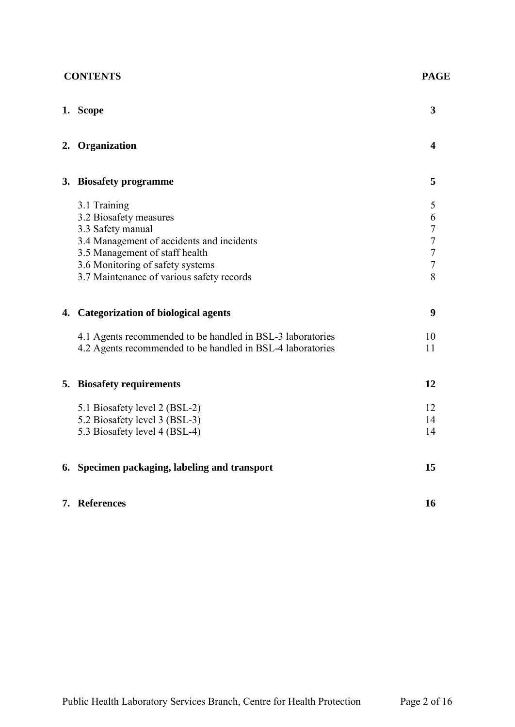| <b>CONTENTS</b> |                                                            | <b>PAGE</b>    |
|-----------------|------------------------------------------------------------|----------------|
|                 | 1. Scope                                                   | 3              |
|                 | 2. Organization                                            | 4              |
|                 | 3. Biosafety programme                                     | 5              |
|                 | 3.1 Training<br>3.2 Biosafety measures                     | 5<br>6         |
|                 | 3.3 Safety manual                                          | $\overline{7}$ |
|                 | 3.4 Management of accidents and incidents                  | $\overline{7}$ |
|                 | 3.5 Management of staff health                             | $\overline{7}$ |
|                 | 3.6 Monitoring of safety systems                           | $\overline{7}$ |
|                 | 3.7 Maintenance of various safety records                  | 8              |
|                 | 4. Categorization of biological agents                     | 9              |
|                 | 4.1 Agents recommended to be handled in BSL-3 laboratories | 10             |
|                 | 4.2 Agents recommended to be handled in BSL-4 laboratories | 11             |
|                 | 5. Biosafety requirements                                  | 12             |
|                 | 5.1 Biosafety level 2 (BSL-2)                              | 12             |
|                 | 5.2 Biosafety level 3 (BSL-3)                              | 14             |
|                 | 5.3 Biosafety level 4 (BSL-4)                              | 14             |
|                 | 6. Specimen packaging, labeling and transport              | 15             |
|                 | 7. References                                              | 16             |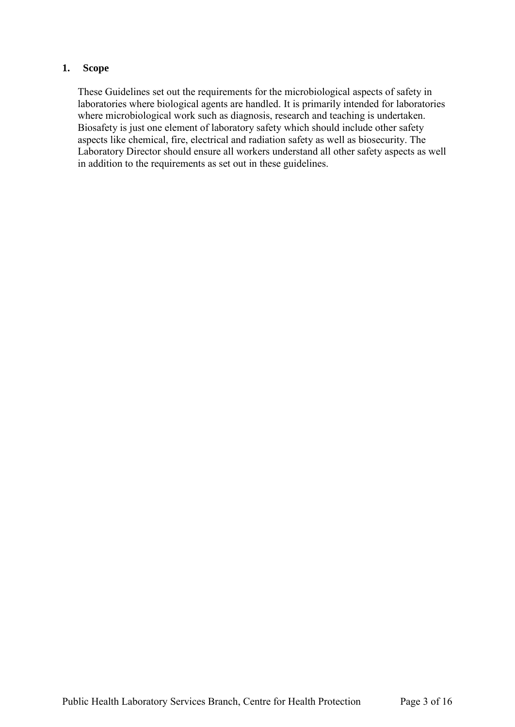## **1. Scope**

 aspects like chemical, fire, electrical and radiation safety as well as biosecurity. The These Guidelines set out the requirements for the microbiological aspects of safety in laboratories where biological agents are handled. It is primarily intended for laboratories where microbiological work such as diagnosis, research and teaching is undertaken. Biosafety is just one element of laboratory safety which should include other safety Laboratory Director should ensure all workers understand all other safety aspects as well in addition to the requirements as set out in these guidelines.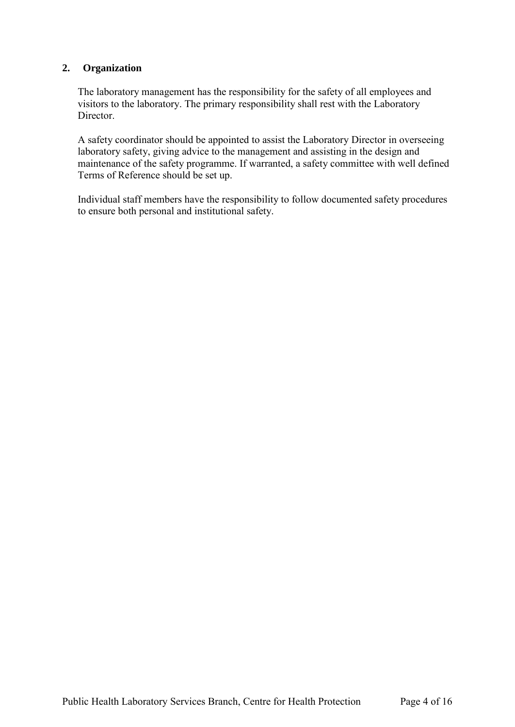# **2. Organization**

The laboratory management has the responsibility for the safety of all employees and visitors to the laboratory. The primary responsibility shall rest with the Laboratory Director.

 A safety coordinator should be appointed to assist the Laboratory Director in overseeing laboratory safety, giving advice to the management and assisting in the design and maintenance of the safety programme. If warranted, a safety committee with well defined Terms of Reference should be set up.

Individual staff members have the responsibility to follow documented safety procedures to ensure both personal and institutional safety.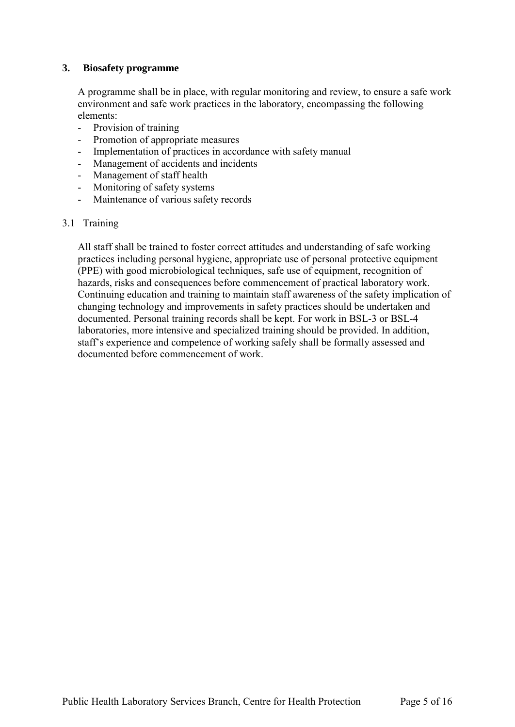### **3. Biosafety programme**

A programme shall be in place, with regular monitoring and review, to ensure a safe work environment and safe work practices in the laboratory, encompassing the following elements:

- Provision of training
- Promotion of appropriate measures
- Implementation of practices in accordance with safety manual
- Management of accidents and incidents
- Management of staff health
- Monitoring of safety systems
- Maintenance of various safety records

#### 3.1 Training

All staff shall be trained to foster correct attitudes and understanding of safe working practices including personal hygiene, appropriate use of personal protective equipment (PPE) with good microbiological techniques, safe use of equipment, recognition of hazards, risks and consequences before commencement of practical laboratory work. Continuing education and training to maintain staff awareness of the safety implication of changing technology and improvements in safety practices should be undertaken and documented. Personal training records shall be kept. For work in BSL-3 or BSL-4 laboratories, more intensive and specialized training should be provided. In addition, staff's experience and competence of working safely shall be formally assessed and documented before commencement of work.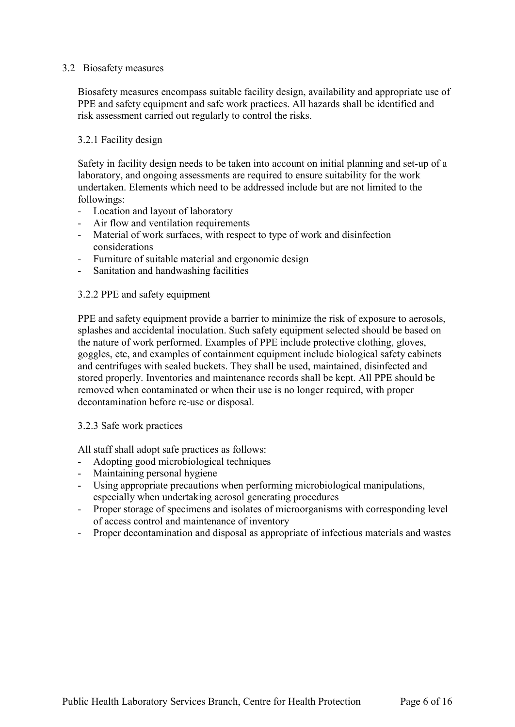#### 3.2 Biosafety measures

Biosafety measures encompass suitable facility design, availability and appropriate use of PPE and safety equipment and safe work practices. All hazards shall be identified and risk assessment carried out regularly to control the risks.

## 3.2.1 Facility design

 Safety in facility design needs to be taken into account on initial planning and set-up of a laboratory, and ongoing assessments are required to ensure suitability for the work undertaken. Elements which need to be addressed include but are not limited to the followings:

- Location and layout of laboratory
- Air flow and ventilation requirements
- Material of work surfaces, with respect to type of work and disinfection considerations
- Furniture of suitable material and ergonomic design
- Sanitation and handwashing facilities

## 3.2.2 PPE and safety equipment

 and centrifuges with sealed buckets. They shall be used, maintained, disinfected and PPE and safety equipment provide a barrier to minimize the risk of exposure to aerosols, splashes and accidental inoculation. Such safety equipment selected should be based on the nature of work performed. Examples of PPE include protective clothing, gloves, goggles, etc, and examples of containment equipment include biological safety cabinets stored properly. Inventories and maintenance records shall be kept. All PPE should be removed when contaminated or when their use is no longer required, with proper decontamination before re-use or disposal.

#### 3.2.3 Safe work practices

All staff shall adopt safe practices as follows:

- Adopting good microbiological techniques
- Maintaining personal hygiene
- Using appropriate precautions when performing microbiological manipulations, especially when undertaking aerosol generating procedures
- Proper storage of specimens and isolates of microorganisms with corresponding level of access control and maintenance of inventory
- Proper decontamination and disposal as appropriate of infectious materials and wastes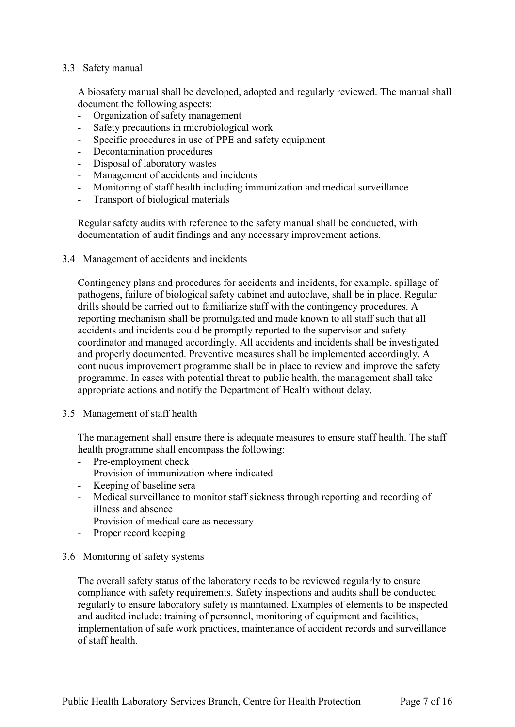#### 3.3 Safety manual

A biosafety manual shall be developed, adopted and regularly reviewed. The manual shall document the following aspects:

- Organization of safety management
- Safety precautions in microbiological work
- Specific procedures in use of PPE and safety equipment
- Decontamination procedures
- Disposal of laboratory wastes
- Management of accidents and incidents
- Monitoring of staff health including immunization and medical surveillance
- Transport of biological materials

Regular safety audits with reference to the safety manual shall be conducted, with documentation of audit findings and any necessary improvement actions.

3.4 Management of accidents and incidents

 Contingency plans and procedures for accidents and incidents, for example, spillage of continuous improvement programme shall be in place to review and improve the safety appropriate actions and notify the Department of Health without delay. pathogens, failure of biological safety cabinet and autoclave, shall be in place. Regular drills should be carried out to familiarize staff with the contingency procedures. A reporting mechanism shall be promulgated and made known to all staff such that all accidents and incidents could be promptly reported to the supervisor and safety coordinator and managed accordingly. All accidents and incidents shall be investigated and properly documented. Preventive measures shall be implemented accordingly. A programme. In cases with potential threat to public health, the management shall take

#### 3.5 Management of staff health

The management shall ensure there is adequate measures to ensure staff health. The staff health programme shall encompass the following:

- Pre-employment check
- Provision of immunization where indicated
- Keeping of baseline sera
- Medical surveillance to monitor staff sickness through reporting and recording of illness and absence
- Provision of medical care as necessary
- Proper record keeping

#### 3.6 Monitoring of safety systems

The overall safety status of the laboratory needs to be reviewed regularly to ensure compliance with safety requirements. Safety inspections and audits shall be conducted regularly to ensure laboratory safety is maintained. Examples of elements to be inspected and audited include: training of personnel, monitoring of equipment and facilities, implementation of safe work practices, maintenance of accident records and surveillance of staff health.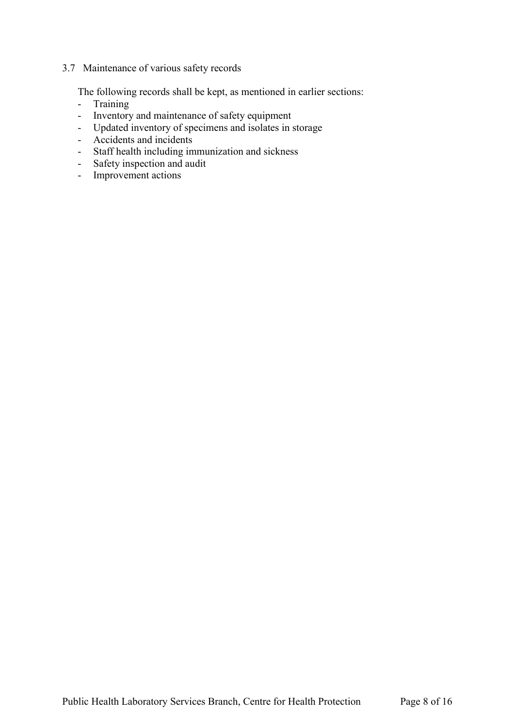# 3.7 Maintenance of various safety records

The following records shall be kept, as mentioned in earlier sections:

- Training
- Inventory and maintenance of safety equipment
- Updated inventory of specimens and isolates in storage
- Accidents and incidents
- Staff health including immunization and sickness
- Safety inspection and audit
- Improvement actions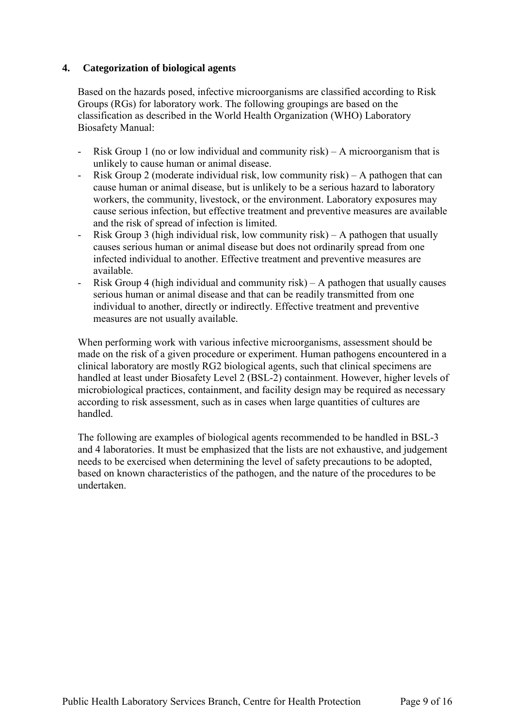### **4. Categorization of biological agents**

Based on the hazards posed, infective microorganisms are classified according to Risk Groups (RGs) for laboratory work. The following groupings are based on the classification as described in the World Health Organization (WHO) Laboratory Biosafety Manual:

- unlikely to cause human or animal disease. - Risk Group 1 (no or low individual and community risk) – A microorganism that is
- Risk Group 2 (moderate individual risk, low community risk) A pathogen that can cause human or animal disease, but is unlikely to be a serious hazard to laboratory workers, the community, livestock, or the environment. Laboratory exposures may cause serious infection, but effective treatment and preventive measures are available and the risk of spread of infection is limited.
- - Risk Group 3 (high individual risk, low community risk) A pathogen that usually causes serious human or animal disease but does not ordinarily spread from one infected individual to another. Effective treatment and preventive measures are available.
- Risk Group 4 (high individual and community risk) A pathogen that usually causes serious human or animal disease and that can be readily transmitted from one individual to another, directly or indirectly. Effective treatment and preventive measures are not usually available.

When performing work with various infective microorganisms, assessment should be made on the risk of a given procedure or experiment. Human pathogens encountered in a clinical laboratory are mostly RG2 biological agents, such that clinical specimens are handled at least under Biosafety Level 2 (BSL-2) containment. However, higher levels of microbiological practices, containment, and facility design may be required as necessary according to risk assessment, such as in cases when large quantities of cultures are handled.

 The following are examples of biological agents recommended to be handled in BSL-3 and 4 laboratories. It must be emphasized that the lists are not exhaustive, and judgement needs to be exercised when determining the level of safety precautions to be adopted, based on known characteristics of the pathogen, and the nature of the procedures to be undertaken.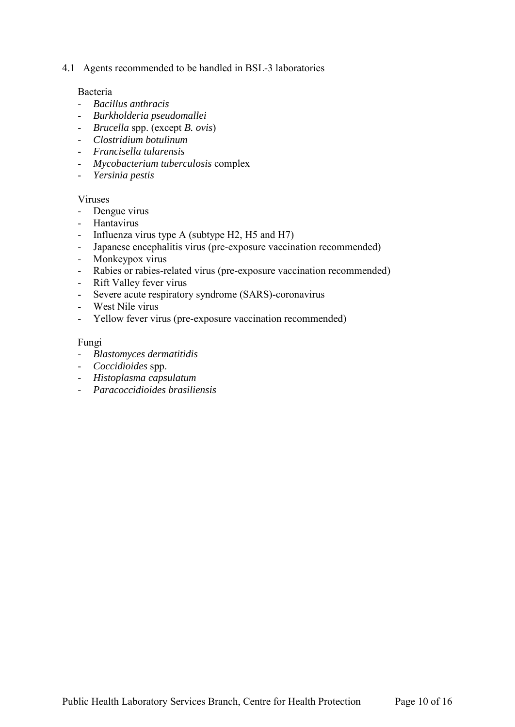4.1 Agents recommended to be handled in BSL-3 laboratories

#### Bacteria

- *Bacillus anthracis*
- *Burkholderia pseudomallei*
- *Brucella* spp. (except *B. ovis*)
- *Clostridium botulinum*
- *Francisella tularensis*
- *Mycobacterium tuberculosis* complex
- *Yersinia pestis*

#### Viruses

- Dengue virus
- Hantavirus
- Influenza virus type A (subtype H2, H5 and H7)
- Japanese encephalitis virus (pre-exposure vaccination recommended)
- Monkeypox virus
- Rabies or rabies-related virus (pre-exposure vaccination recommended)
- Rift Valley fever virus
- Severe acute respiratory syndrome (SARS)-coronavirus
- West Nile virus
- Yellow fever virus (pre-exposure vaccination recommended)

#### Fungi

- *Blastomyces dermatitidis*
- *Coccidioides* spp.
- *Histoplasma capsulatum*
- *Paracoccidioides brasiliensis*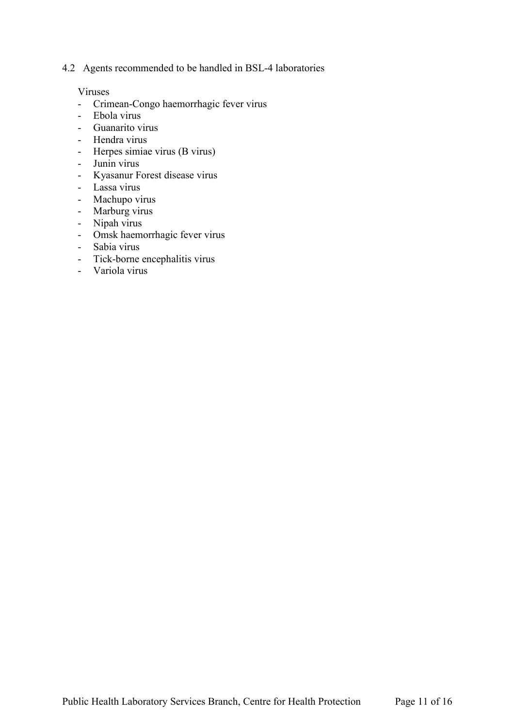4.2 Agents recommended to be handled in BSL-4 laboratories

#### Viruses

- Crimean-Congo haemorrhagic fever virus
- Ebola virus
- Guanarito virus
- Hendra virus
- Herpes simiae virus (B virus)
- Junin virus
- Kyasanur Forest disease virus
- Lassa virus
- Machupo virus
- Marburg virus
- Nipah virus
- Omsk haemorrhagic fever virus
- Sabia virus
- Tick-borne encephalitis virus
- Variola virus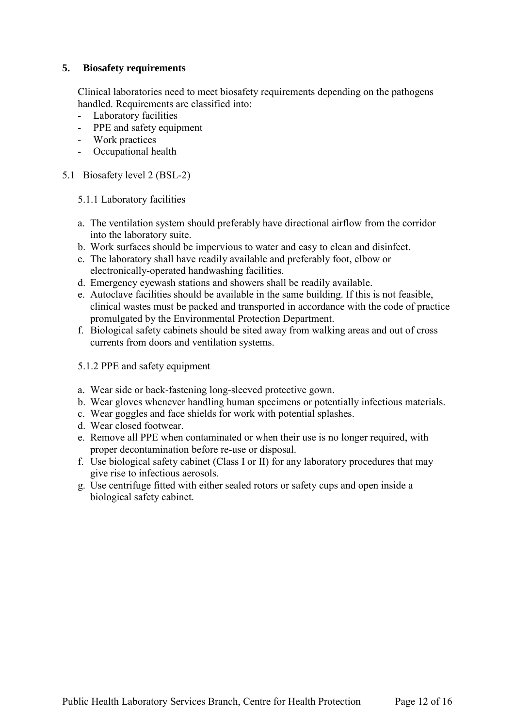## **5. Biosafety requirements**

Clinical laboratories need to meet biosafety requirements depending on the pathogens handled. Requirements are classified into:

- Laboratory facilities
- PPE and safety equipment
- Work practices
- Occupational health
- 5.1 Biosafety level 2 (BSL-2)
	- 5.1.1 Laboratory facilities
	- a. The ventilation system should preferably have directional airflow from the corridor into the laboratory suite.
	- b. Work surfaces should be impervious to water and easy to clean and disinfect.
	- c. The laboratory shall have readily available and preferably foot, elbow or electronically-operated handwashing facilities.
	- d. Emergency eyewash stations and showers shall be readily available.
	- e. Autoclave facilities should be available in the same building. If this is not feasible, clinical wastes must be packed and transported in accordance with the code of practice promulgated by the Environmental Protection Department.
	- f. Biological safety cabinets should be sited away from walking areas and out of cross currents from doors and ventilation systems.
	- 5.1.2 PPE and safety equipment
	- a. Wear side or back-fastening long-sleeved protective gown.
	- b. Wear gloves whenever handling human specimens or potentially infectious materials.
	- c. Wear goggles and face shields for work with potential splashes.
	- d. Wear closed footwear.
	- e. Remove all PPE when contaminated or when their use is no longer required, with proper decontamination before re-use or disposal.
	- f. Use biological safety cabinet (Class I or II) for any laboratory procedures that may give rise to infectious aerosols.
	- g. Use centrifuge fitted with either sealed rotors or safety cups and open inside a biological safety cabinet.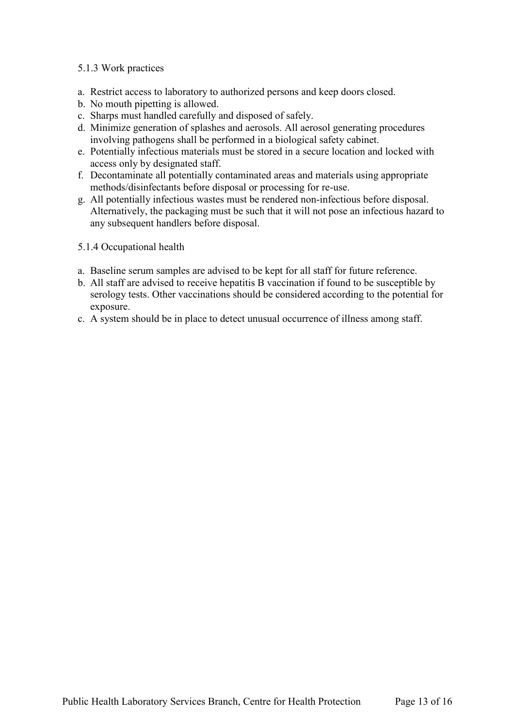### 5.1.3 Work practices

- a. Restrict access to laboratory to authorized persons and keep doors closed.
- b. No mouth pipetting is allowed.
- c. Sharps must handled carefully and disposed of safely.
- d. Minimize generation of splashes and aerosols. All aerosol generating procedures involving pathogens shall be performed in a biological safety cabinet.
- e. Potentially infectious materials must be stored in a secure location and locked with access only by designated staff.
- f. Decontaminate all potentially contaminated areas and materials using appropriate methods/disinfectants before disposal or processing for re-use.
- g. All potentially infectious wastes must be rendered non-infectious before disposal. Alternatively, the packaging must be such that it will not pose an infectious hazard to any subsequent handlers before disposal.
- 5.1.4 Occupational health
- a. Baseline serum samples are advised to be kept for all staff for future reference.
- b. All staff are advised to receive hepatitis B vaccination if found to be susceptible by serology tests. Other vaccinations should be considered according to the potential for exposure.
- c. A system should be in place to detect unusual occurrence of illness among staff.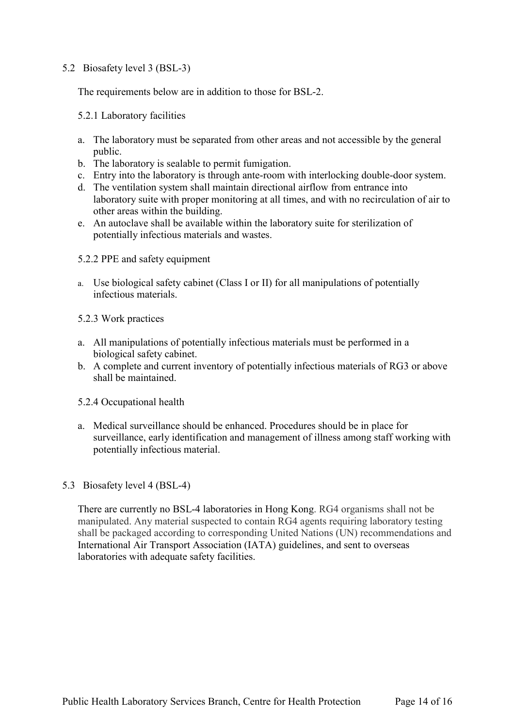### 5.2 Biosafety level 3 (BSL-3)

The requirements below are in addition to those for BSL-2.

#### 5.2.1 Laboratory facilities

- a. The laboratory must be separated from other areas and not accessible by the general public.
- b. The laboratory is sealable to permit fumigation.
- c. Entry into the laboratory is through ante-room with interlocking double-door system.
- laboratory suite with proper monitoring at all times, and with no recirculation of air to d. The ventilation system shall maintain directional airflow from entrance into other areas within the building.
- e. An autoclave shall be available within the laboratory suite for sterilization of potentially infectious materials and wastes.
- 5.2.2 PPE and safety equipment
- a. Use biological safety cabinet (Class I or II) for all manipulations of potentially infectious materials.
- 5.2.3 Work practices
- a. All manipulations of potentially infectious materials must be performed in a biological safety cabinet.
- b. A complete and current inventory of potentially infectious materials of RG3 or above shall be maintained.
- 5.2.4 Occupational health
- a. Medical surveillance should be enhanced. Procedures should be in place for surveillance, early identification and management of illness among staff working with potentially infectious material.

#### 5.3 Biosafety level 4 (BSL-4)

There are currently no BSL-4 laboratories in Hong Kong. RG4 organisms shall not be manipulated. Any material suspected to contain RG4 agents requiring laboratory testing shall be packaged according to corresponding United Nations (UN) recommendations and International Air Transport Association (IATA) guidelines, and sent to overseas laboratories with adequate safety facilities.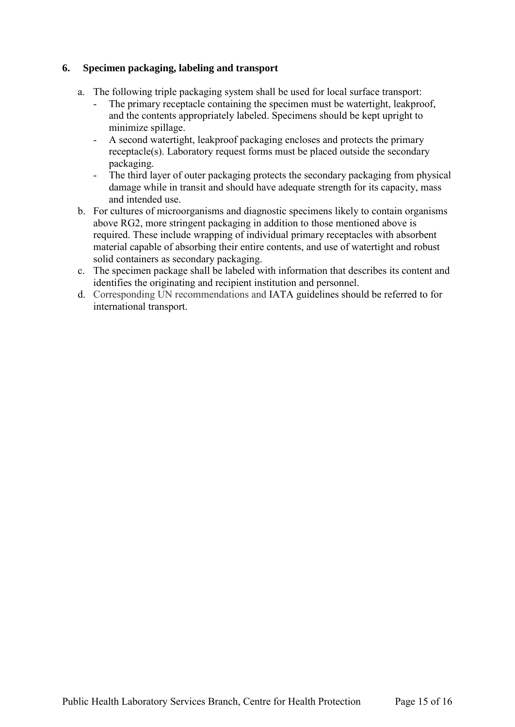## **6. Specimen packaging, labeling and transport**

- a. The following triple packaging system shall be used for local surface transport:
	- The primary receptacle containing the specimen must be watertight, leakproof, and the contents appropriately labeled. Specimens should be kept upright to minimize spillage.
	- A second watertight, leakproof packaging encloses and protects the primary receptacle(s). Laboratory request forms must be placed outside the secondary packaging.
	- The third layer of outer packaging protects the secondary packaging from physical damage while in transit and should have adequate strength for its capacity, mass and intended use.
- b. For cultures of microorganisms and diagnostic specimens likely to contain organisms above RG2, more stringent packaging in addition to those mentioned above is required. These include wrapping of individual primary receptacles with absorbent material capable of absorbing their entire contents, and use of watertight and robust solid containers as secondary packaging.
- c. The specimen package shall be labeled with information that describes its content and identifies the originating and recipient institution and personnel.
- d. Corresponding UN recommendations and IATA guidelines should be referred to for international transport.